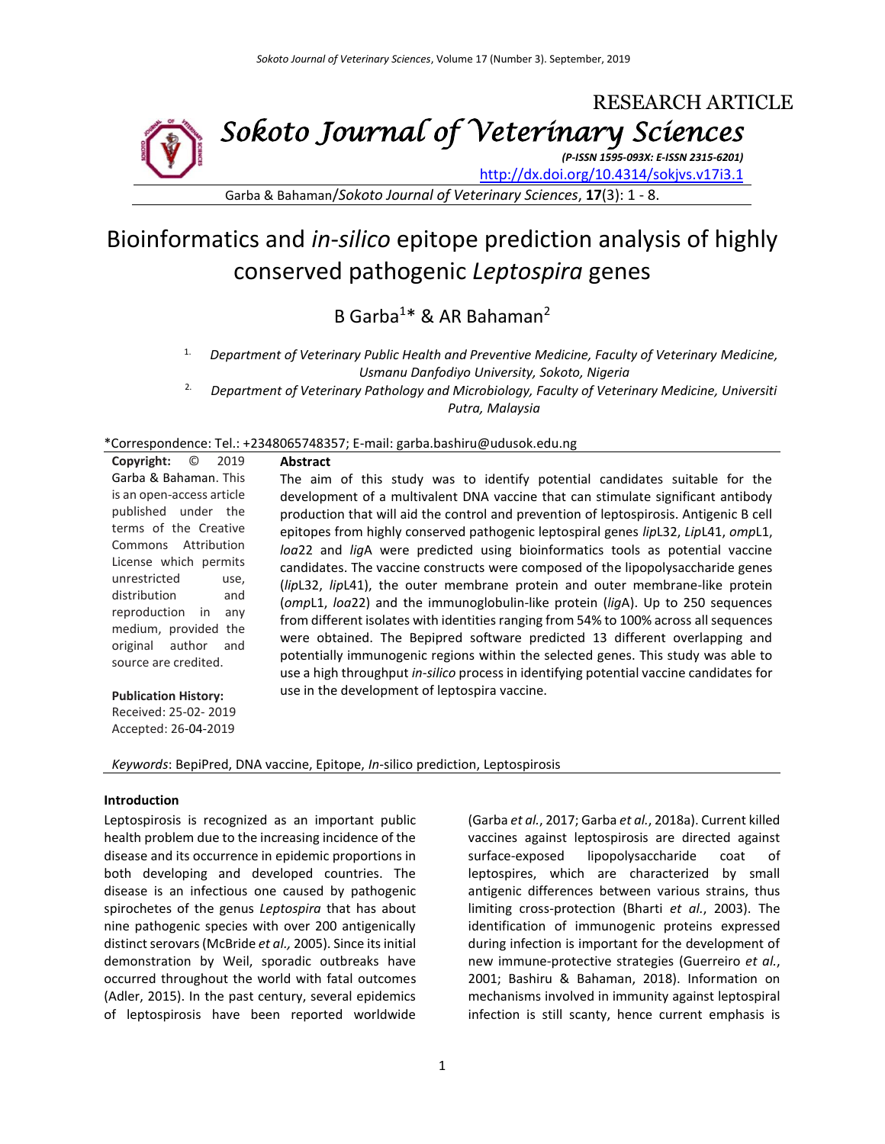# RESEARCH ARTICLE *Sokoto Journal of Veterinary Sciences*

*(P-ISSN 1595-093X: E-ISSN 2315-6201)*

[http://dx.doi.org/10.4314/sokjvs.v17i3.1](http://dx.doi.org/10.4314/sokjvs.v17i2.1)

Garba & Bahaman/*Sokoto Journal of Veterinary Sciences*, **17**(3): 1 - 8.

# Bioinformatics and *in*-*silico* epitope prediction analysis of highly conserved pathogenic *Leptospira* genes

B Garba<sup>1\*</sup> & AR Bahaman<sup>2</sup>

- 1. *Department of Veterinary Public Health and Preventive Medicine, Faculty of Veterinary Medicine, Usmanu Danfodiyo University, Sokoto, Nigeria*
- 2. *Department of Veterinary Pathology and Microbiology, Faculty of Veterinary Medicine, Universiti Putra, Malaysia*

\*Correspondence: Tel.: +2348065748357; E-mail: garba.bashiru@udusok.edu.ng

**Abstract**

| Copyright:                | $\circ$ 2019 |  |  |  |  |  |
|---------------------------|--------------|--|--|--|--|--|
| Garba & Bahaman. This     |              |  |  |  |  |  |
| is an open-access article |              |  |  |  |  |  |
| published under the       |              |  |  |  |  |  |
| terms of the Creative     |              |  |  |  |  |  |
| Commons Attribution       |              |  |  |  |  |  |
| License which permits     |              |  |  |  |  |  |
| unrestricted              | use,         |  |  |  |  |  |
| distribution              | and          |  |  |  |  |  |
| reproduction in any       |              |  |  |  |  |  |
| medium, provided the      |              |  |  |  |  |  |
| original author and       |              |  |  |  |  |  |
| source are credited.      |              |  |  |  |  |  |
|                           |              |  |  |  |  |  |

The aim of this study was to identify potential candidates suitable for the development of a multivalent DNA vaccine that can stimulate significant antibody production that will aid the control and prevention of leptospirosis. Antigenic B cell epitopes from highly conserved pathogenic leptospiral genes *lip*L32, *Lip*L41, *omp*L1, *loa*22 and *lig*A were predicted using bioinformatics tools as potential vaccine candidates. The vaccine constructs were composed of the lipopolysaccharide genes (*lip*L32, *lip*L41), the outer membrane protein and outer membrane-like protein (*omp*L1, *loa*22) and the immunoglobulin-like protein (*lig*A). Up to 250 sequences from different isolates with identities ranging from 54% to 100% across all sequences were obtained. The Bepipred software predicted 13 different overlapping and potentially immunogenic regions within the selected genes. This study was able to use a high throughput *in-silico* process in identifying potential vaccine candidates for use in the development of leptospira vaccine.

**Publication History:** 

Received: 25-02- 2019 Accepted: 26-04-2019

*Keywords*: BepiPred, DNA vaccine, Epitope, *In-*silico prediction, Leptospirosis

#### **Introduction**

Leptospirosis is recognized as an important public health problem due to the increasing incidence of the disease and its occurrence in epidemic proportions in both developing and developed countries. The disease is an infectious one caused by pathogenic spirochetes of the genus *Leptospira* that has about nine pathogenic species with over 200 antigenically distinct serovars (McBride et al., 2005). Since its initial demonstration by Weil, sporadic outbreaks have occurred throughout the world with fatal outcomes (Adler, 2015). In the past century, several epidemics of leptospirosis have been reported worldwide (Garba *et al.*, 2017; Garba *et al.*, 2018a). Current killed vaccines against leptospirosis are directed against surface-exposed lipopolysaccharide coat of leptospires, which are characterized by small antigenic differences between various strains, thus limiting cross-protection (Bharti *et al.*, 2003). The identification of immunogenic proteins expressed during infection is important for the development of new immune-protective strategies (Guerreiro *et al.*, 2001; Bashiru & Bahaman, 2018). Information on mechanisms involved in immunity against leptospiral infection is still scanty, hence current emphasis is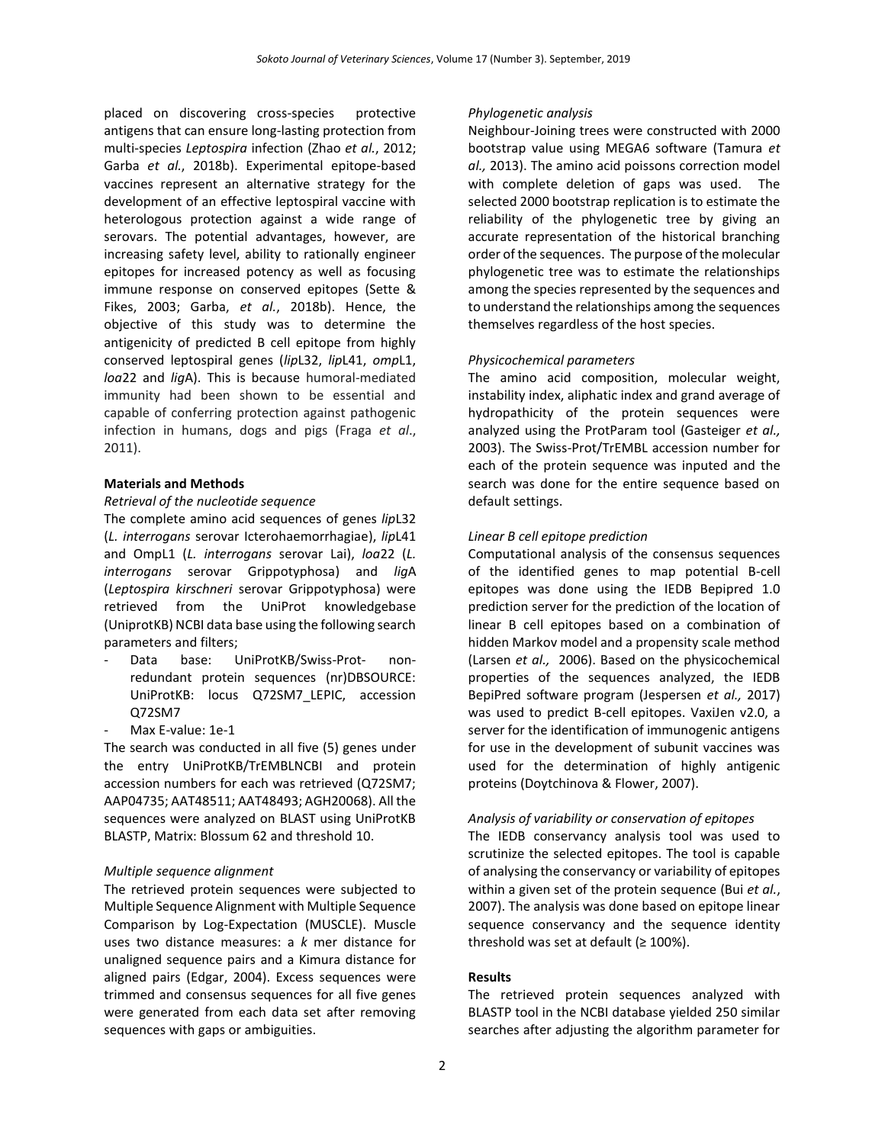placed on discovering cross-species protective antigens that can ensure long-lasting protection from multi-species *Leptospira* infection (Zhao *et al.*, 2012; Garba *et al.*, 2018b). Experimental epitope-based vaccines represent an alternative strategy for the development of an effective leptospiral vaccine with heterologous protection against a wide range of serovars. The potential advantages, however, are increasing safety level, ability to rationally engineer epitopes for increased potency as well as focusing immune response on conserved epitopes (Sette & Fikes, 2003; Garba, *et al.*, 2018b). Hence, the objective of this study was to determine the antigenicity of predicted B cell epitope from highly conserved leptospiral genes (*lip*L32, *lip*L41, *omp*L1, *loa*22 and *lig*A). This is because humoral‐mediated immunity had been shown to be essential and capable of conferring protection against pathogenic infection in humans, dogs and pigs (Fraga *et al*., 2011).

## **Materials and Methods**

## *Retrieval of the nucleotide sequence*

The complete amino acid sequences of genes *lip*L32 (*L. interrogans* serovar Icterohaemorrhagiae), *lip*L41 and OmpL1 (*L. interrogans* serovar Lai), *loa*22 (*L. interrogans* serovar Grippotyphosa) and *lig*A (*Leptospira kirschneri* serovar Grippotyphosa) were retrieved from the UniProt knowledgebase (UniprotKB) NCBI data base using the following search parameters and filters;

- Data base: UniProtKB/Swiss-Prot- nonredundant protein sequences (nr)DBSOURCE: UniProtKB: locus Q72SM7\_LEPIC, accession Q72SM7
- Max E-value: 1e-1

The search was conducted in all five (5) genes under the entry UniProtKB/TrEMBLNCBI and protein accession numbers for each was retrieved (Q72SM7; AAP04735; AAT48511; AAT48493; AGH20068). All the sequences were analyzed on BLAST using UniProtKB BLASTP, Matrix: Blossum 62 and threshold 10.

#### *Multiple sequence alignment*

The retrieved protein sequences were subjected to Multiple Sequence Alignment with Multiple Sequence Comparison by Log-Expectation (MUSCLE). Muscle uses two distance measures: a *k* mer distance for unaligned sequence pairs and a Kimura distance for aligned pairs (Edgar, 2004). Excess sequences were trimmed and consensus sequences for all five genes were generated from each data set after removing sequences with gaps or ambiguities.

#### *Phylogenetic analysis*

Neighbour-Joining trees were constructed with 2000 bootstrap value using MEGA6 software (Tamura *et al.,* 2013). The amino acid poissons correction model with complete deletion of gaps was used. The selected 2000 bootstrap replication is to estimate the reliability of the phylogenetic tree by giving an accurate representation of the historical branching order of the sequences. The purpose of the molecular phylogenetic tree was to estimate the relationships among the species represented by the sequences and to understand the relationships among the sequences themselves regardless of the host species.

#### *Physicochemical parameters*

The amino acid composition, molecular weight, instability index, aliphatic index and grand average of hydropathicity of the protein sequences were analyzed using the ProtParam tool (Gasteiger *et al.,*  2003). The Swiss-Prot/TrEMBL accession number for each of the protein sequence was inputed and the search was done for the entire sequence based on default settings.

## *Linear B cell epitope prediction*

Computational analysis of the consensus sequences of the identified genes to map potential B-cell epitopes was done using the IEDB Bepipred 1.0 prediction server for the prediction of the location of linear B cell epitopes based on a combination of hidden Markov model and a propensity scale method (Larsen *et al.,* 2006). Based on the physicochemical properties of the sequences analyzed, the IEDB BepiPred software program (Jespersen *et al.,* 2017) was used to predict B-cell epitopes. VaxiJen v2.0, a server for the identification of immunogenic antigens for use in the development of subunit vaccines was used for the determination of highly antigenic proteins (Doytchinova & Flower, 2007).

## *Analysis of variability or conservation of epitopes*

The IEDB conservancy analysis tool was used to scrutinize the selected epitopes. The tool is capable of analysing the conservancy or variability of epitopes within a given set of the protein sequence (Bui *et al.*, 2007). The analysis was done based on epitope linear sequence conservancy and the sequence identity threshold was set at default ( $\geq 100\%$ ).

## **Results**

The retrieved protein sequences analyzed with BLASTP tool in the NCBI database yielded 250 similar searches after adjusting the algorithm parameter for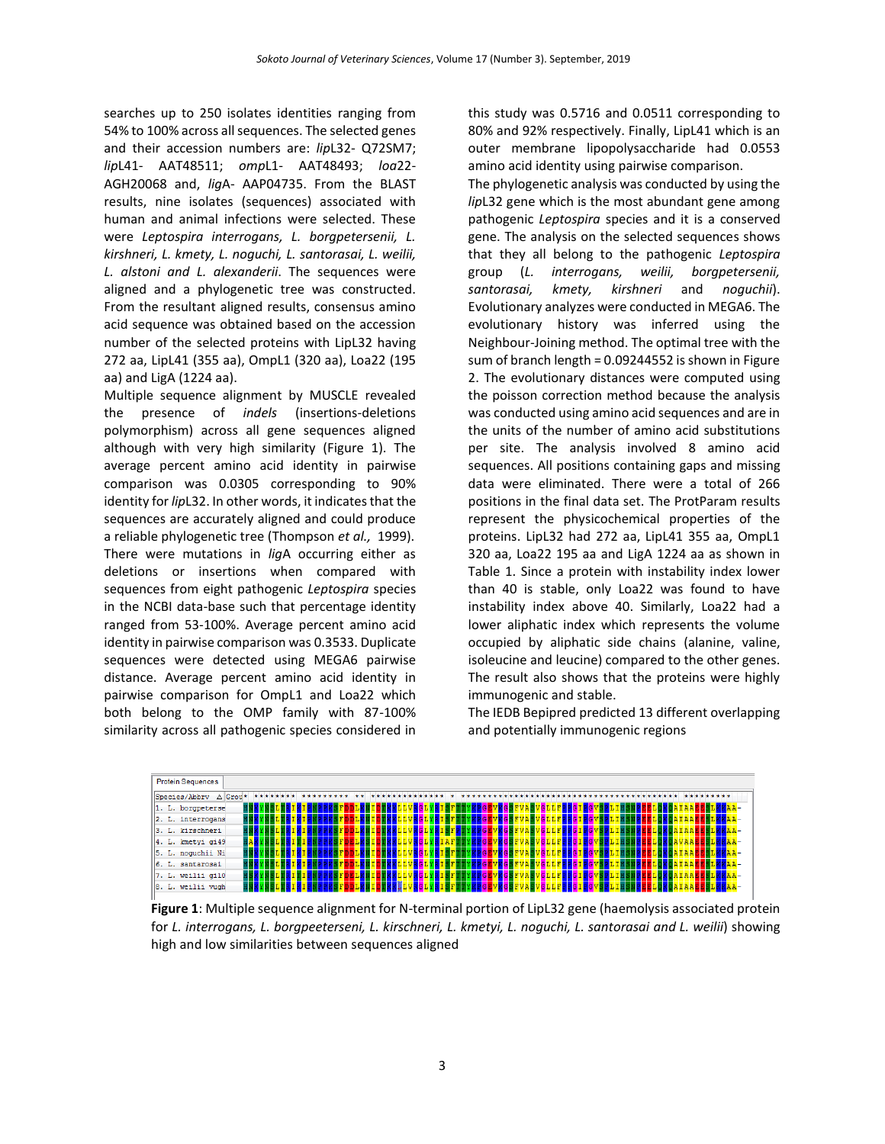searches up to 250 isolates identities ranging from 54% to 100% across all sequences. The selected genes and their accession numbers are: *lip*L32- Q72SM7; *lip*L41- AAT48511; *omp*L1- AAT48493; *loa*22- AGH20068 and, *lig*A- AAP04735. From the BLAST results, nine isolates (sequences) associated with human and animal infections were selected. These were *Leptospira interrogans, L. borgpetersenii, L. kirshneri, L. kmety, L. noguchi, L. santorasai, L. weilii, L. alstoni and L. alexanderii*. The sequences were aligned and a phylogenetic tree was constructed. From the resultant aligned results, consensus amino acid sequence was obtained based on the accession number of the selected proteins with LipL32 having 272 aa, LipL41 (355 aa), OmpL1 (320 aa), Loa22 (195 aa) and LigA (1224 aa).

Multiple sequence alignment by MUSCLE revealed the presence of *indels* (insertions-deletions polymorphism) across all gene sequences aligned although with very high similarity (Figure 1). The average percent amino acid identity in pairwise comparison was 0.0305 corresponding to 90% identity for *lip*L32. In other words, it indicates that the sequences are accurately aligned and could produce a reliable phylogenetic tree (Thompson *et al.,* 1999). There were mutations in *lig*A occurring either as deletions or insertions when compared with sequences from eight pathogenic *Leptospira* species in the NCBI data-base such that percentage identity ranged from 53-100%. Average percent amino acid identity in pairwise comparison was 0.3533. Duplicate sequences were detected using MEGA6 pairwise distance. Average percent amino acid identity in pairwise comparison for OmpL1 and Loa22 which both belong to the OMP family with 87-100% similarity across all pathogenic species considered in

this study was 0.5716 and 0.0511 corresponding to 80% and 92% respectively. Finally, LipL41 which is an outer membrane lipopolysaccharide had 0.0553 amino acid identity using pairwise comparison.

The phylogenetic analysis was conducted by using the *lip*L32 gene which is the most abundant gene among pathogenic *Leptospira* species and it is a conserved gene. The analysis on the selected sequences shows that they all belong to the pathogenic *Leptospira* group (*L. interrogans, weilii, borgpetersenii, santorasai, kmety, kirshneri* and *noguchii*). Evolutionary analyzes were conducted in MEGA6. The evolutionary history was inferred using the Neighbour-Joining method. The optimal tree with the sum of branch length = 0.09244552 is shown in Figure 2. The evolutionary distances were computed using the poisson correction method because the analysis was conducted using amino acid sequences and are in the units of the number of amino acid substitutions per site. The analysis involved 8 amino acid sequences. All positions containing gaps and missing data were eliminated. There were a total of 266 positions in the final data set. The ProtParam results represent the physicochemical properties of the proteins. LipL32 had 272 aa, LipL41 355 aa, OmpL1 320 aa, Loa22 195 aa and LigA 1224 aa as shown in Table 1. Since a protein with instability index lower than 40 is stable, only Loa22 was found to have instability index above 40. Similarly, Loa22 had a lower aliphatic index which represents the volume occupied by aliphatic side chains (alanine, valine, isoleucine and leucine) compared to the other genes. The result also shows that the proteins were highly immunogenic and stable.

The IEDB Bepipred predicted 13 different overlapping and potentially immunogenic regions



**Figure 1**: Multiple sequence alignment for N-terminal portion of LipL32 gene (haemolysis associated protein for *L. interrogans, L. borgpeeterseni, L. kirschneri, L. kmetyi, L. noguchi, L. santorasai and L. weilii*) showing high and low similarities between sequences aligned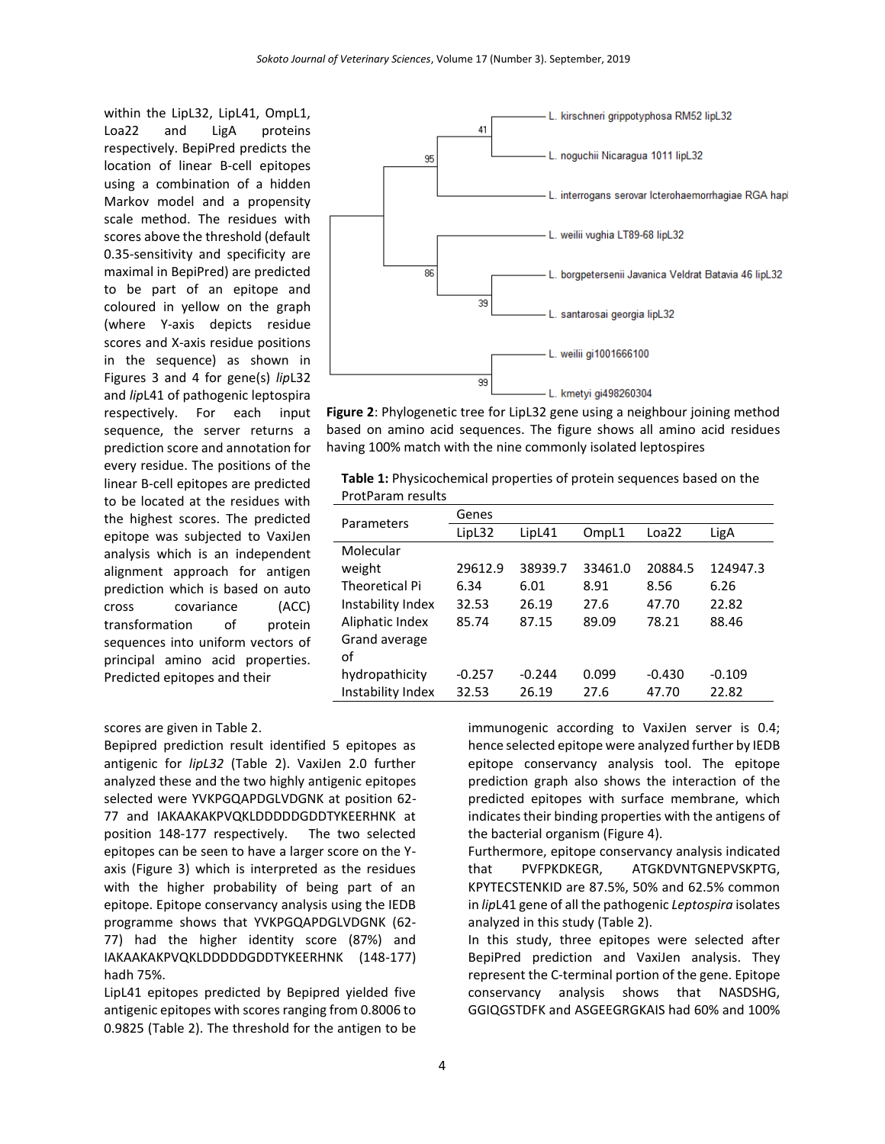within the LipL32, LipL41, OmpL1, Loa22 and LigA proteins respectively. BepiPred predicts the location of linear B-cell epitopes using a combination of a hidden Markov model and a propensity scale method. The residues with scores above the threshold (default 0.35-sensitivity and specificity are maximal in BepiPred) are predicted to be part of an epitope and coloured in yellow on the graph (where Y-axis depicts residue scores and X-axis residue positions in the sequence) as shown in Figures 3 and 4 for gene(s) *lip*L32 and *lip*L41 of pathogenic leptospira respectively. For each input sequence, the server returns a prediction score and annotation for every residue. The positions of the linear B-cell epitopes are predicted to be located at the residues with the highest scores. The predicted epitope was subjected to VaxiJen analysis which is an independent alignment approach for antigen prediction which is based on auto cross covariance (ACC) transformation of protein sequences into uniform vectors of principal amino acid properties. Predicted epitopes and their



**Figure 2**: Phylogenetic tree for LipL32 gene using a neighbour joining method based on amino acid sequences. The figure shows all amino acid residues having 100% match with the nine commonly isolated leptospires

**Table 1:** Physicochemical properties of protein sequences based on the ProtParam results

| Parameters            | Genes    |          |         |          |          |  |
|-----------------------|----------|----------|---------|----------|----------|--|
|                       | LipL32   | LipL41   | OmpL1   | Loa22    | LigA     |  |
| Molecular             |          |          |         |          |          |  |
| weight                | 29612.9  | 38939.7  | 33461.0 | 20884.5  | 124947.3 |  |
| <b>Theoretical Pi</b> | 6.34     | 6.01     | 8.91    | 8.56     | 6.26     |  |
| Instability Index     | 32.53    | 26.19    | 27.6    | 47.70    | 22.82    |  |
| Aliphatic Index       | 85.74    | 87.15    | 89.09   | 78.21    | 88.46    |  |
| Grand average         |          |          |         |          |          |  |
| of                    |          |          |         |          |          |  |
| hydropathicity        | $-0.257$ | $-0.244$ | 0.099   | $-0.430$ | $-0.109$ |  |
| Instability Index     | 32.53    | 26.19    | 27.6    | 47.70    | 22.82    |  |

#### scores are given in Table 2.

Bepipred prediction result identified 5 epitopes as antigenic for *lipL32* (Table 2). VaxiJen 2.0 further analyzed these and the two highly antigenic epitopes selected were YVKPGQAPDGLVDGNK at position 62- 77 and IAKAAKAKPVQKLDDDDDGDDTYKEERHNK at position 148-177 respectively. The two selected epitopes can be seen to have a larger score on the Yaxis (Figure 3) which is interpreted as the residues with the higher probability of being part of an epitope. Epitope conservancy analysis using the IEDB programme shows that YVKPGQAPDGLVDGNK (62- 77) had the higher identity score (87%) and IAKAAKAKPVQKLDDDDDGDDTYKEERHNK (148-177) hadh 75%.

LipL41 epitopes predicted by Bepipred yielded five antigenic epitopes with scores ranging from 0.8006 to 0.9825 (Table 2). The threshold for the antigen to be immunogenic according to VaxiJen server is 0.4; hence selected epitope were analyzed further by IEDB epitope conservancy analysis tool. The epitope prediction graph also shows the interaction of the predicted epitopes with surface membrane, which indicates their binding properties with the antigens of the bacterial organism (Figure 4).

Furthermore, epitope conservancy analysis indicated that PVFPKDKEGR, ATGKDVNTGNEPVSKPTG, KPYTECSTENKID are 87.5%, 50% and 62.5% common in *lip*L41 gene of all the pathogenic *Leptospira* isolates analyzed in this study (Table 2).

In this study, three epitopes were selected after BepiPred prediction and VaxiJen analysis. They represent the C-terminal portion of the gene. Epitope conservancy analysis shows that NASDSHG, GGIQGSTDFK and ASGEEGRGKAIS had 60% and 100%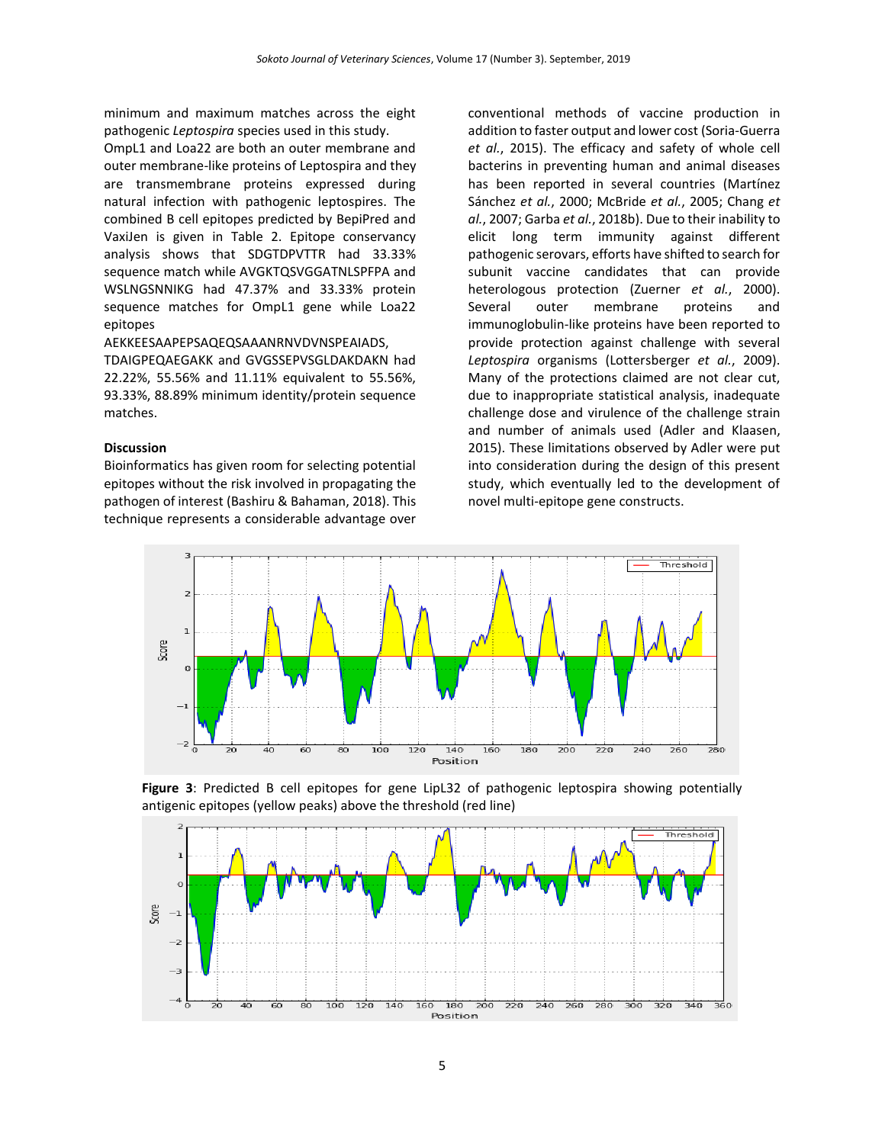minimum and maximum matches across the eight pathogenic *Leptospira* species used in this study.

OmpL1 and Loa22 are both an outer membrane and outer membrane-like proteins of Leptospira and they are transmembrane proteins expressed during natural infection with pathogenic leptospires. The combined B cell epitopes predicted by BepiPred and VaxiJen is given in Table 2. Epitope conservancy analysis shows that SDGTDPVTTR had 33.33% sequence match while AVGKTQSVGGATNLSPFPA and WSLNGSNNIKG had 47.37% and 33.33% protein sequence matches for OmpL1 gene while Loa22 epitopes

# AEKKEESAAPEPSAQEQSAAANRNVDVNSPEAIADS,

TDAIGPEQAEGAKK and GVGSSEPVSGLDAKDAKN had 22.22%, 55.56% and 11.11% equivalent to 55.56%, 93.33%, 88.89% minimum identity/protein sequence matches.

#### **Discussion**

Bioinformatics has given room for selecting potential epitopes without the risk involved in propagating the pathogen of interest (Bashiru & Bahaman, 2018). This technique represents a considerable advantage over conventional methods of vaccine production in addition to faster output and lower cost (Soria-Guerra *et al.*, 2015). The efficacy and safety of whole cell bacterins in preventing human and animal diseases has been reported in several countries (Martínez Sánchez *et al.*, 2000; McBride *et al.*, 2005; Chang *et al.*, 2007; Garba *et al.*, 2018b). Due to their inability to elicit long term immunity against different pathogenic serovars, efforts have shifted to search for subunit vaccine candidates that can provide heterologous protection (Zuerner *et al.*, 2000). Several outer membrane proteins and immunoglobulin-like proteins have been reported to provide protection against challenge with several *Leptospira* organisms (Lottersberger *et al.*, 2009). Many of the protections claimed are not clear cut, due to inappropriate statistical analysis, inadequate challenge dose and virulence of the challenge strain and number of animals used (Adler and Klaasen, 2015). These limitations observed by Adler were put into consideration during the design of this present study, which eventually led to the development of novel multi-epitope gene constructs.



**Figure 3**: Predicted B cell epitopes for gene LipL32 of pathogenic leptospira showing potentially antigenic epitopes (yellow peaks) above the threshold (red line) **Figure 3: Predicted B cell excell excellent** and  $\mathbf{r}$ 

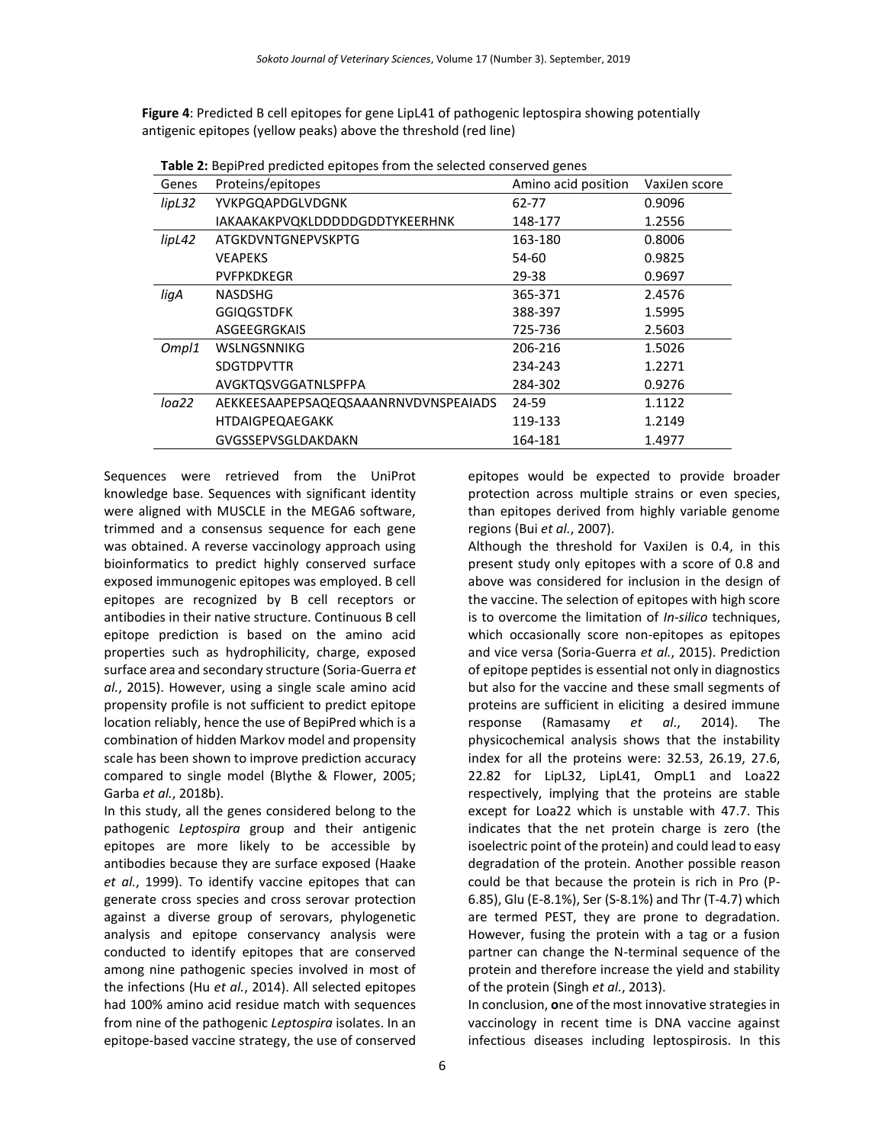**Figure 4**: Predicted B cell epitopes for gene LipL41 of pathogenic leptospira showing potentially antigenic epitopes (yellow peaks) above the threshold (red line)

|        | <b>TWATE.</b> BUDIT TO DI COICLOU ODILOPOS TI OITI LITO SCIOCLOU COITSCI VOU KOITOS. |                     |               |  |  |  |  |  |
|--------|--------------------------------------------------------------------------------------|---------------------|---------------|--|--|--|--|--|
| Genes  | Proteins/epitopes                                                                    | Amino acid position | VaxiJen score |  |  |  |  |  |
| lipL32 | YVKPGQAPDGLVDGNK                                                                     | 62-77               | 0.9096        |  |  |  |  |  |
|        | IAKAAKAKPVQKLDDDDDGDDTYKEERHNK                                                       | 148-177             | 1.2556        |  |  |  |  |  |
| lipL42 | ATGKDVNTGNEPVSKPTG                                                                   | 163-180             | 0.8006        |  |  |  |  |  |
|        | <b>VEAPEKS</b>                                                                       | 54-60               | 0.9825        |  |  |  |  |  |
|        | <b>PVFPKDKEGR</b>                                                                    | 29-38               | 0.9697        |  |  |  |  |  |
| ligA   | NASDSHG                                                                              | 365-371             | 2.4576        |  |  |  |  |  |
|        | <b>GGIQGSTDFK</b>                                                                    | 388-397             | 1.5995        |  |  |  |  |  |
|        | ASGEEGRGKAIS                                                                         | 725-736             | 2.5603        |  |  |  |  |  |
| Ompl1  | WSLNGSNNIKG                                                                          | 206-216             | 1.5026        |  |  |  |  |  |
|        | <b>SDGTDPVTTR</b>                                                                    | 234-243             | 1.2271        |  |  |  |  |  |
|        | AVGKTQSVGGATNLSPFPA                                                                  | 284-302             | 0.9276        |  |  |  |  |  |
| loa22  | AEKKEESAAPEPSAQEQSAAANRNVDVNSPEAIADS                                                 | 24-59               | 1.1122        |  |  |  |  |  |
|        | <b>HTDAIGPEQAEGAKK</b>                                                               | 119-133             | 1.2149        |  |  |  |  |  |
|        | GVGSSEPVSGLDAKDAKN                                                                   | 164-181             | 1.4977        |  |  |  |  |  |

**Table 2:** BepiPred predicted epitopes from the selected conserved genes

Sequences were retrieved from the UniProt knowledge base. Sequences with significant identity were aligned with MUSCLE in the MEGA6 software, trimmed and a consensus sequence for each gene was obtained. A reverse vaccinology approach using bioinformatics to predict highly conserved surface exposed immunogenic epitopes was employed. B cell epitopes are recognized by B cell receptors or antibodies in their native structure. Continuous B cell epitope prediction is based on the amino acid properties such as hydrophilicity, charge, exposed surface area and secondary structure (Soria-Guerra *et al.*, 2015). However, using a single scale amino acid propensity profile is not sufficient to predict epitope location reliably, hence the use of BepiPred which is a combination of hidden Markov model and propensity scale has been shown to improve prediction accuracy compared to single model (Blythe & Flower, 2005; Garba *et al.*, 2018b).

In this study, all the genes considered belong to the pathogenic *Leptospira* group and their antigenic epitopes are more likely to be accessible by antibodies because they are surface exposed (Haake *et al.*, 1999). To identify vaccine epitopes that can generate cross species and cross serovar protection against a diverse group of serovars, phylogenetic analysis and epitope conservancy analysis were conducted to identify epitopes that are conserved among nine pathogenic species involved in most of the infections (Hu *et al.*, 2014). All selected epitopes had 100% amino acid residue match with sequences from nine of the pathogenic *Leptospira* isolates. In an epitope-based vaccine strategy, the use of conserved

epitopes would be expected to provide broader protection across multiple strains or even species, than epitopes derived from highly variable genome regions (Bui *et al.*, 2007).

Although the threshold for VaxiJen is 0.4, in this present study only epitopes with a score of 0.8 and above was considered for inclusion in the design of the vaccine. The selection of epitopes with high score is to overcome the limitation of *In-silico* techniques, which occasionally score non-epitopes as epitopes and vice versa (Soria-Guerra *et al.*, 2015). Prediction of epitope peptides is essential not only in diagnostics but also for the vaccine and these small segments of proteins are sufficient in eliciting a desired immune response (Ramasamy *et al*., 2014). The physicochemical analysis shows that the instability index for all the proteins were: 32.53, 26.19, 27.6, 22.82 for LipL32, LipL41, OmpL1 and Loa22 respectively, implying that the proteins are stable except for Loa22 which is unstable with 47.7. This indicates that the net protein charge is zero (the isoelectric point of the protein) and could lead to easy degradation of the protein. Another possible reason could be that because the protein is rich in Pro (P-6.85), Glu (E-8.1%), Ser (S-8.1%) and Thr (T-4.7) which are termed PEST, they are prone to degradation. However, fusing the protein with a tag or a fusion partner can change the N-terminal sequence of the protein and therefore increase the yield and stability of the protein (Singh *et al.*, 2013).

In conclusion, **o**ne of the most innovative strategies in vaccinology in recent time is DNA vaccine against infectious diseases including leptospirosis. In this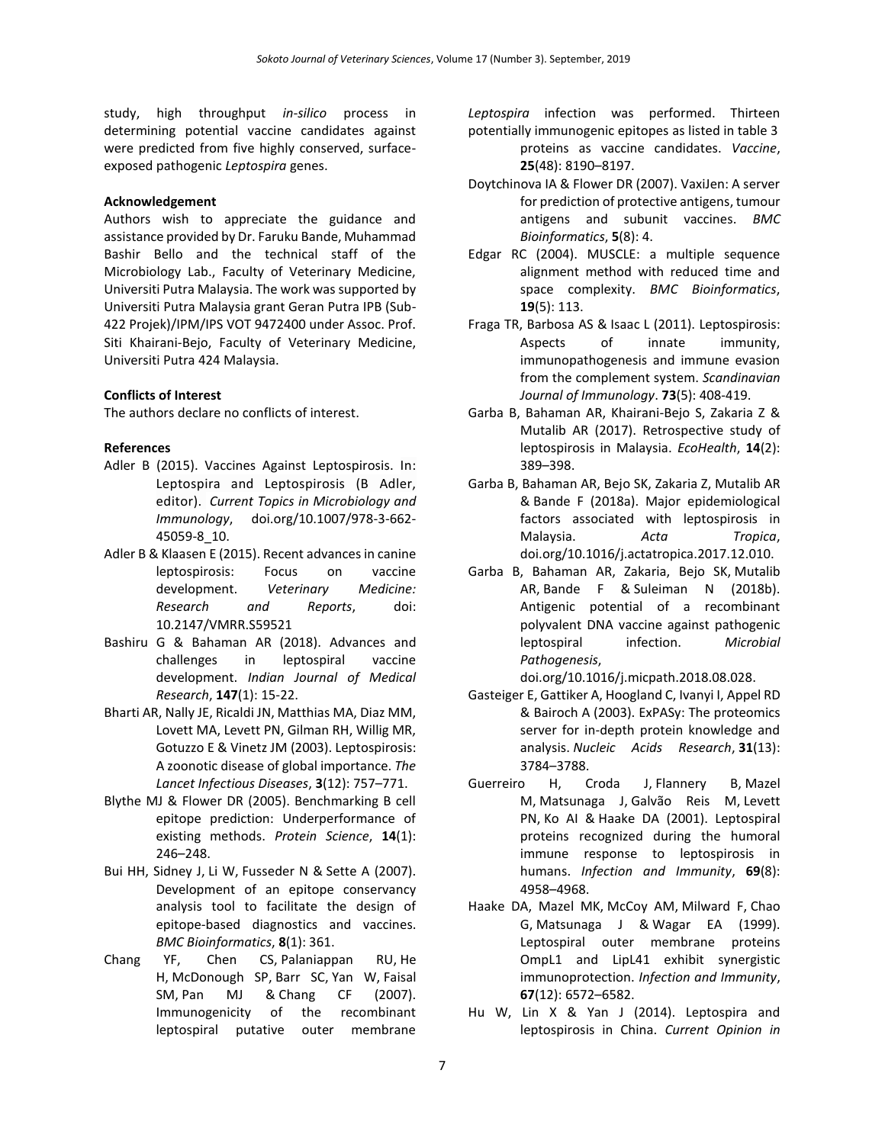study, high throughput *in-silico* process in determining potential vaccine candidates against were predicted from five highly conserved, surfaceexposed pathogenic *Leptospira* genes.

## **Acknowledgement**

Authors wish to appreciate the guidance and assistance provided by Dr. Faruku Bande, Muhammad Bashir Bello and the technical staff of the Microbiology Lab., Faculty of Veterinary Medicine, Universiti Putra Malaysia. The work was supported by Universiti Putra Malaysia grant Geran Putra IPB (Sub-422 Projek)/IPM/IPS VOT 9472400 under Assoc. Prof. Siti Khairani-Bejo, Faculty of Veterinary Medicine, Universiti Putra 424 Malaysia.

# **Conflicts of Interest**

The authors declare no conflicts of interest.

# **References**

- Adler B (2015). Vaccines Against Leptospirosis. In: Leptospira and Leptospirosis (B Adler, editor). *Current Topics in Microbiology and Immunology*, doi.org/10.1007/978-3-662- 45059-8\_10.
- Adler B & Klaasen E (2015). Recent advances in canine leptospirosis: Focus on vaccine development. *Veterinary Medicine: Research and Reports*, doi: 10.2147/VMRR.S59521
- Bashiru G & Bahaman AR (2018). Advances and challenges in leptospiral vaccine development. *Indian Journal of Medical Research*, **147**(1): 15-22.
- Bharti AR, Nally JE, Ricaldi JN, Matthias MA, Diaz MM, Lovett MA, Levett PN, Gilman RH, Willig MR, Gotuzzo E & Vinetz JM (2003). Leptospirosis: A zoonotic disease of global importance. *The Lancet Infectious Diseases*, **3**(12): 757–771.
- Blythe MJ & Flower DR (2005). Benchmarking B cell epitope prediction: Underperformance of existing methods. *Protein Science*, **14**(1): 246–248.
- Bui HH, [Sidney J,](https://www.ncbi.nlm.nih.gov/pubmed/?term=Sidney%20J%5BAuthor%5D&cauthor=true&cauthor_uid=17897458) [Li W,](https://www.ncbi.nlm.nih.gov/pubmed/?term=Li%20W%5BAuthor%5D&cauthor=true&cauthor_uid=17897458) [Fusseder N](https://www.ncbi.nlm.nih.gov/pubmed/?term=Fusseder%20N%5BAuthor%5D&cauthor=true&cauthor_uid=17897458) & [Sette A](https://www.ncbi.nlm.nih.gov/pubmed/?term=Sette%20A%5BAuthor%5D&cauthor=true&cauthor_uid=17897458) (2007). Development of an epitope conservancy analysis tool to facilitate the design of epitope-based diagnostics and vaccines. *BMC Bioinformatics*, **8**(1): 361.
- Chang YF, [Chen CS,](https://www.ncbi.nlm.nih.gov/pubmed/?term=Chen%20CS%5BAuthor%5D&cauthor=true&cauthor_uid=17936448) [Palaniappan RU,](https://www.ncbi.nlm.nih.gov/pubmed/?term=Palaniappan%20RU%5BAuthor%5D&cauthor=true&cauthor_uid=17936448) [He](https://www.ncbi.nlm.nih.gov/pubmed/?term=He%20H%5BAuthor%5D&cauthor=true&cauthor_uid=17936448)  [H,](https://www.ncbi.nlm.nih.gov/pubmed/?term=He%20H%5BAuthor%5D&cauthor=true&cauthor_uid=17936448) [McDonough SP,](https://www.ncbi.nlm.nih.gov/pubmed/?term=McDonough%20SP%5BAuthor%5D&cauthor=true&cauthor_uid=17936448) [Barr SC,](https://www.ncbi.nlm.nih.gov/pubmed/?term=Barr%20SC%5BAuthor%5D&cauthor=true&cauthor_uid=17936448) [Yan W,](https://www.ncbi.nlm.nih.gov/pubmed/?term=Yan%20W%5BAuthor%5D&cauthor=true&cauthor_uid=17936448) [Faisal](https://www.ncbi.nlm.nih.gov/pubmed/?term=Faisal%20SM%5BAuthor%5D&cauthor=true&cauthor_uid=17936448)  [SM,](https://www.ncbi.nlm.nih.gov/pubmed/?term=Faisal%20SM%5BAuthor%5D&cauthor=true&cauthor_uid=17936448) [Pan MJ](https://www.ncbi.nlm.nih.gov/pubmed/?term=Pan%20MJ%5BAuthor%5D&cauthor=true&cauthor_uid=17936448) & [Chang CF](https://www.ncbi.nlm.nih.gov/pubmed/?term=Chang%20CF%5BAuthor%5D&cauthor=true&cauthor_uid=17936448) (2007). Immunogenicity of the recombinant leptospiral putative outer membrane

*Leptospira* infection was performed. Thirteen potentially immunogenic epitopes as listed in table 3 proteins as vaccine candidates. *Vaccine*, **25**(48): 8190–8197.

- Doytchinova IA & Flower DR (2007). VaxiJen: A server for prediction of protective antigens, tumour antigens and subunit vaccines. *BMC Bioinformatics*, **5**(8): 4.
- Edgar RC (2004). MUSCLE: a multiple sequence alignment method with reduced time and space complexity. *BMC Bioinformatics*, **19**(5): 113.
- [Fraga TR,](https://www.ncbi.nlm.nih.gov/pubmed/?term=Fraga%20TR%5BAuthor%5D&cauthor=true&cauthor_uid=21204903) [Barbosa AS](https://www.ncbi.nlm.nih.gov/pubmed/?term=Barbosa%20AS%5BAuthor%5D&cauthor=true&cauthor_uid=21204903) & [Isaac L](https://www.ncbi.nlm.nih.gov/pubmed/?term=Isaac%20L%5BAuthor%5D&cauthor=true&cauthor_uid=21204903) (2011). Leptospirosis: Aspects of innate immunity, immunopathogenesis and immune evasion from the complement system. *[Scandinavian](https://www.ncbi.nlm.nih.gov/pubmed/21204903)  [Journal of Immunology](https://www.ncbi.nlm.nih.gov/pubmed/21204903)*. **73**(5): 408-419.
- Garba B, Bahaman AR, Khairani-Bejo S, Zakaria Z & Mutalib AR (2017). Retrospective study of leptospirosis in Malaysia. *EcoHealth*, **14**(2): 389–398.
- Garba B, Bahaman AR, Bejo SK, [Zakaria Z,](https://www.ncbi.nlm.nih.gov/pubmed/?term=Zakaria%20Z%5BAuthor%5D&cauthor=true&cauthor_uid=29217379) [Mutalib](https://www.ncbi.nlm.nih.gov/pubmed/?term=Mutalib%20AR%5BAuthor%5D&cauthor=true&cauthor_uid=29217379) AR & [Bande F](https://www.ncbi.nlm.nih.gov/pubmed/?term=Bande%20F%5BAuthor%5D&cauthor=true&cauthor_uid=29217379) (2018a). Major epidemiological factors associated with leptospirosis in Malaysia. *Acta Tropica*, [doi.org/10.1016/j.actatropica.2017.12.010.](https://doi.org/10.1016/j.actatropica.2017.12.010)
- Garba B, Bahaman AR, Zakaria, [Bejo SK,](https://www.ncbi.nlm.nih.gov/pubmed/?term=Bejo%20SK%5BAuthor%5D&cauthor=true&cauthor_uid=30138761) [Mutalib](https://www.ncbi.nlm.nih.gov/pubmed/?term=Mutalib%20AR%5BAuthor%5D&cauthor=true&cauthor_uid=30138761)  [AR,](https://www.ncbi.nlm.nih.gov/pubmed/?term=Mutalib%20AR%5BAuthor%5D&cauthor=true&cauthor_uid=30138761) [Bande F](https://www.ncbi.nlm.nih.gov/pubmed/?term=Bande%20F%5BAuthor%5D&cauthor=true&cauthor_uid=30138761) & [Suleiman N](https://www.ncbi.nlm.nih.gov/pubmed/?term=Suleiman%20N%5BAuthor%5D&cauthor=true&cauthor_uid=30138761) (2018b). Antigenic potential of a recombinant polyvalent DNA vaccine against pathogenic leptospiral infection. *Microbial Pathogenesis*,

[doi.org/10.1016/j.micpath.2018.08.028.](https://doi.org/10.1016/j.micpath.2018.08.028)

- Gasteiger E, Gattiker A, Hoogland C, Ivanyi I, Appel RD & Bairoch A (2003). ExPASy: The proteomics server for in-depth protein knowledge and analysis. *Nucleic Acids Research*, **31**(13): 3784–3788.
- Guerreiro H, [Croda J,](https://www.ncbi.nlm.nih.gov/pubmed/?term=Croda%20J%5BAuthor%5D&cauthor=true&cauthor_uid=11447174) [Flannery B,](https://www.ncbi.nlm.nih.gov/pubmed/?term=Flannery%20B%5BAuthor%5D&cauthor=true&cauthor_uid=11447174) [Mazel](https://www.ncbi.nlm.nih.gov/pubmed/?term=Mazel%20M%5BAuthor%5D&cauthor=true&cauthor_uid=11447174)  [M,](https://www.ncbi.nlm.nih.gov/pubmed/?term=Mazel%20M%5BAuthor%5D&cauthor=true&cauthor_uid=11447174) [Matsunaga J,](https://www.ncbi.nlm.nih.gov/pubmed/?term=Matsunaga%20J%5BAuthor%5D&cauthor=true&cauthor_uid=11447174) [Galvão Reis M,](https://www.ncbi.nlm.nih.gov/pubmed/?term=Galv%C3%A3o%20Reis%20M%5BAuthor%5D&cauthor=true&cauthor_uid=11447174) [Levett](https://www.ncbi.nlm.nih.gov/pubmed/?term=Levett%20PN%5BAuthor%5D&cauthor=true&cauthor_uid=11447174)  [PN,](https://www.ncbi.nlm.nih.gov/pubmed/?term=Levett%20PN%5BAuthor%5D&cauthor=true&cauthor_uid=11447174) [Ko AI](https://www.ncbi.nlm.nih.gov/pubmed/?term=Ko%20AI%5BAuthor%5D&cauthor=true&cauthor_uid=11447174) & [Haake DA](https://www.ncbi.nlm.nih.gov/pubmed/?term=Haake%20DA%5BAuthor%5D&cauthor=true&cauthor_uid=11447174) (2001). Leptospiral proteins recognized during the humoral immune response to leptospirosis in humans. *Infection and Immunity*, **69**(8): 4958–4968.
- Haake DA, [Mazel MK,](https://www.ncbi.nlm.nih.gov/pubmed/?term=Mazel%20MK%5BAuthor%5D&cauthor=true&cauthor_uid=10569777) [McCoy AM,](https://www.ncbi.nlm.nih.gov/pubmed/?term=McCoy%20AM%5BAuthor%5D&cauthor=true&cauthor_uid=10569777) [Milward F,](https://www.ncbi.nlm.nih.gov/pubmed/?term=Milward%20F%5BAuthor%5D&cauthor=true&cauthor_uid=10569777) [Chao](https://www.ncbi.nlm.nih.gov/pubmed/?term=Chao%20G%5BAuthor%5D&cauthor=true&cauthor_uid=10569777)  [G,](https://www.ncbi.nlm.nih.gov/pubmed/?term=Chao%20G%5BAuthor%5D&cauthor=true&cauthor_uid=10569777) [Matsunaga J](https://www.ncbi.nlm.nih.gov/pubmed/?term=Matsunaga%20J%5BAuthor%5D&cauthor=true&cauthor_uid=10569777) & [Wagar EA](https://www.ncbi.nlm.nih.gov/pubmed/?term=Wagar%20EA%5BAuthor%5D&cauthor=true&cauthor_uid=10569777) (1999). Leptospiral outer membrane proteins OmpL1 and LipL41 exhibit synergistic immunoprotection. *Infection and Immunity*, **67**(12): 6572–6582.
- Hu W, Lin X & Yan J (2014). Leptospira and leptospirosis in China. *Current Opinion in*